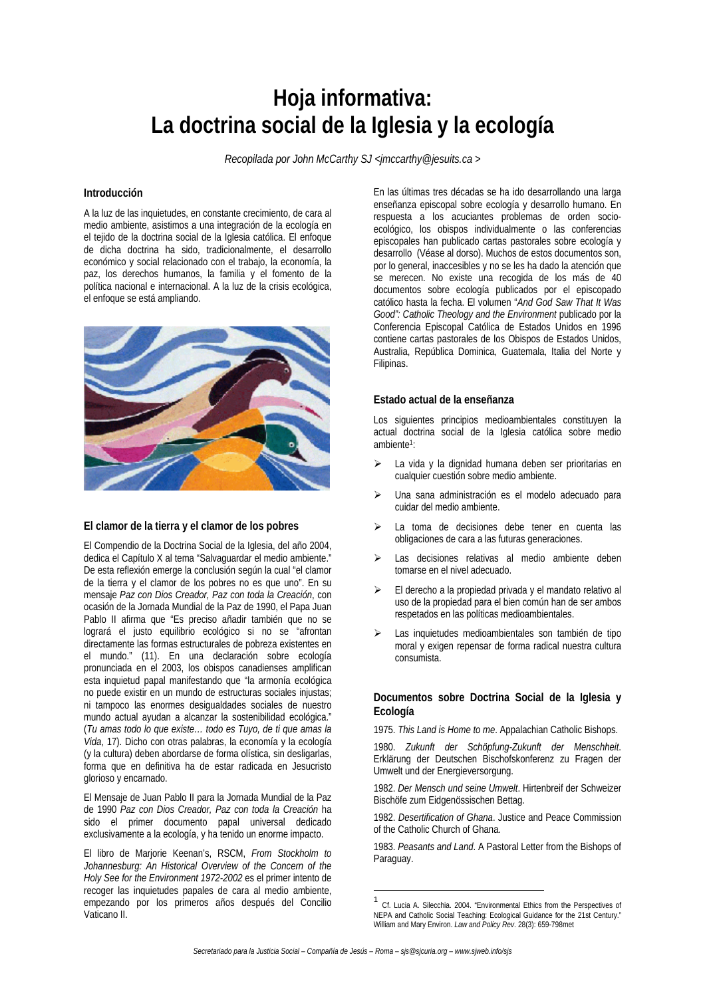# **Hoja informativa: La doctrina social de la Iglesia y la ecología**

*Recopilada por John McCarthy SJ <jmccarthy@jesuits.ca >* 

### **Introducción**

A la luz de las inquietudes, en constante crecimiento, de cara al medio ambiente, asistimos a una integración de la ecología en el tejido de la doctrina social de la Iglesia católica. El enfoque de dicha doctrina ha sido, tradicionalmente, el desarrollo económico y social relacionado con el trabajo, la economía, la paz, los derechos humanos, la familia y el fomento de la política nacional e internacional. A la luz de la crisis ecológica, el enfoque se está ampliando.



## **El clamor de la tierra y el clamor de los pobres**

El Compendio de la Doctrina Social de la Iglesia, del año 2004, dedica el Capítulo X al tema "Salvaguardar el medio ambiente." De esta reflexión emerge la conclusión según la cual "el clamor de la tierra y el clamor de los pobres no es que uno". En su mensaje *Paz con Dios Creador, Paz con toda la Creación*, con ocasión de la Jornada Mundial de la Paz de 1990, el Papa Juan Pablo II afirma que "Es preciso añadir también que no se logrará el justo equilibrio ecológico si no se "afrontan directamente las formas estructurales de pobreza existentes en el mundo." (11). En una declaración sobre ecología pronunciada en el 2003, los obispos canadienses amplifican esta inquietud papal manifestando que "la armonía ecológica no puede existir en un mundo de estructuras sociales injustas; ni tampoco las enormes desigualdades sociales de nuestro mundo actual ayudan a alcanzar la sostenibilidad ecológica." (*Tu amas todo lo que existe… todo es Tuyo, de ti que amas la Vida*, 17). Dicho con otras palabras, la economía y la ecología (y la cultura) deben abordarse de forma olística, sin desligarlas, forma que en definitiva ha de estar radicada en Jesucristo glorioso y encarnado.

El Mensaje de Juan Pablo II para la Jornada Mundial de la Paz de 1990 *Paz con Dios Creador, Paz con toda la Creación* ha sido el primer documento papal universal dedicado exclusivamente a la ecología, y ha tenido un enorme impacto.

El libro de Marjorie Keenan's, RSCM, *From Stockholm to Johannesburg: An Historical Overview of the Concern of the Holy See for the Environment 1972-2002* es el primer intento de recoger las inquietudes papales de cara al medio ambiente, empezando por los primeros años después del Concilio Vaticano II.

En las últimas tres décadas se ha ido desarrollando una larga enseñanza episcopal sobre ecología y desarrollo humano. En respuesta a los acuciantes problemas de orden socioecológico, los obispos individualmente o las conferencias episcopales han publicado cartas pastorales sobre ecología y desarrollo (Véase al dorso). Muchos de estos documentos son, por lo general, inaccesibles y no se les ha dado la atención que se merecen. No existe una recogida de los más de 40 documentos sobre ecología publicados por el episcopado católico hasta la fecha. El volumen "*And God Saw That It Was Good": Catholic Theology and the Environment* publicado por la Conferencia Episcopal Católica de Estados Unidos en 1996 contiene cartas pastorales de los Obispos de Estados Unidos, Australia, República Dominica, Guatemala, Italia del Norte y Filipinas.

### **Estado actual de la enseñanza**

Los siguientes principios medioambientales constituyen la actual doctrina social de la Iglesia católica sobre medio ambiente1:

- La vida y la dignidad humana deben ser prioritarias en cualquier cuestión sobre medio ambiente.
- Una sana administración es el modelo adecuado para cuidar del medio ambiente.
- La toma de decisiones debe tener en cuenta las obligaciones de cara a las futuras generaciones.
- Las decisiones relativas al medio ambiente deben tomarse en el nivel adecuado.
- El derecho a la propiedad privada y el mandato relativo al uso de la propiedad para el bien común han de ser ambos respetados en las políticas medioambientales.
- Las inquietudes medioambientales son también de tipo moral y exigen repensar de forma radical nuestra cultura consumista.

## **Documentos sobre Doctrina Social de la Iglesia y Ecología**

1975. *This Land is Home to me*. Appalachian Catholic Bishops.

1980. *Zukunft der Schöpfung-Zukunft der Menschheit*. Erklärung der Deutschen Bischofskonferenz zu Fragen der Umwelt und der Energieversorgung.

1982. *Der Mensch und seine Umwelt*. Hirtenbreif der Schweizer Bischöfe zum Eidgenössischen Bettag.

1982. *Desertification of Ghana*. Justice and Peace Commission of the Catholic Church of Ghana.

1983. *Peasants and Land*. A Pastoral Letter from the Bishops of Paraguay.

l

<sup>1</sup> Cf. Lucia A. Silecchia. 2004. "Environmental Ethics from the Perspectives of NEPA and Catholic Social Teaching: Ecological Guidance for the 21st Century." William and Mary Environ. *Law and Policy Rev*. 28(3): 659-798met